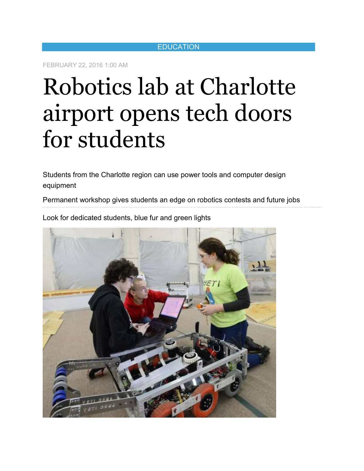### **EDUCATION**

FEBRUARY 22, 2016 1:00 AM

# Robotics lab at Charlotte airport opens tech doors for students

Students from the Charlotte region can use power tools and computer design equipment

Permanent workshop gives students an edge on robotics contests and future jobs

Look for dedicated students, blue fur and green lights

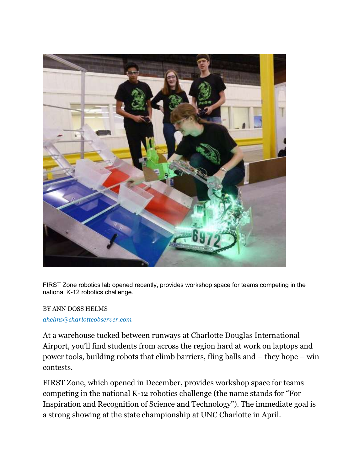

FIRST Zone robotics lab opened recently, provides workshop space for teams competing in the national K-12 robotics challenge.

## BY ANN DOSS HELMS

### *ahelms@charlotteobserver.com*

At a warehouse tucked between runways at Charlotte Douglas International Airport, you'll find students from across the region hard at work on laptops and power tools, building robots that climb barriers, fling balls and – they hope – win contests.

FIRST Zone, which opened in December, provides workshop space for teams competing in the national K-12 robotics challenge (the name stands for "For Inspiration and Recognition of Science and Technology"). The immediate goal is a strong showing at the state championship at UNC Charlotte in April.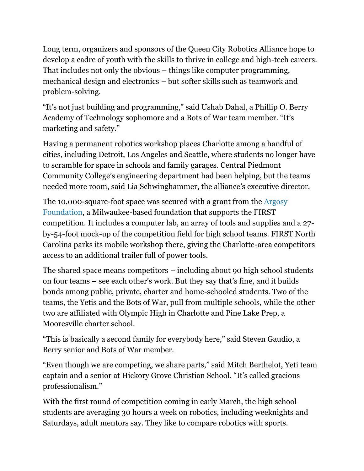Long term, organizers and sponsors of the Queen City Robotics Alliance hope to develop a cadre of youth with the skills to thrive in college and high-tech careers. That includes not only the obvious – things like computer programming, mechanical design and electronics – but softer skills such as teamwork and problem-solving.

"It's not just building and programming," said Ushab Dahal, a Phillip O. Berry Academy of Technology sophomore and a Bots of War team member. "It's marketing and safety."

Having a permanent robotics workshop places Charlotte among a handful of cities, including Detroit, Los Angeles and Seattle, where students no longer have to scramble for space in schools and family garages. Central Piedmont Community College's engineering department had been helping, but the teams needed more room, said Lia Schwinghammer, the alliance's executive director.

The 10,000-square-foot space was secured with a grant from the Argosy Foundation, a Milwaukee-based foundation that supports the FIRST competition. It includes a computer lab, an array of tools and supplies and a 27 by-54-foot mock-up of the competition field for high school teams. FIRST North Carolina parks its mobile workshop there, giving the Charlotte-area competitors access to an additional trailer full of power tools.

The shared space means competitors – including about 90 high school students on four teams – see each other's work. But they say that's fine, and it builds bonds among public, private, charter and home-schooled students. Two of the teams, the Yetis and the Bots of War, pull from multiple schools, while the other two are affiliated with Olympic High in Charlotte and Pine Lake Prep, a Mooresville charter school.

"This is basically a second family for everybody here," said Steven Gaudio, a Berry senior and Bots of War member.

"Even though we are competing, we share parts," said Mitch Berthelot, Yeti team captain and a senior at Hickory Grove Christian School. "It's called gracious professionalism."

With the first round of competition coming in early March, the high school students are averaging 30 hours a week on robotics, including weeknights and Saturdays, adult mentors say. They like to compare robotics with sports.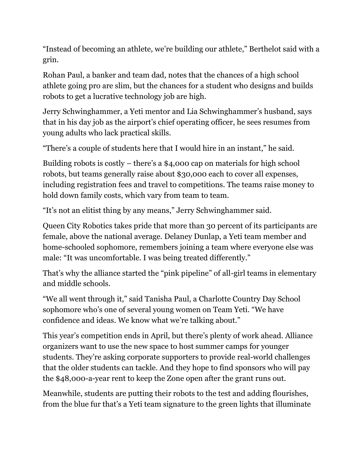"Instead of becoming an athlete, we're building our athlete," Berthelot said with a grin.

Rohan Paul, a banker and team dad, notes that the chances of a high school athlete going pro are slim, but the chances for a student who designs and builds robots to get a lucrative technology job are high.

Jerry Schwinghammer, a Yeti mentor and Lia Schwinghammer's husband, says that in his day job as the airport's chief operating officer, he sees resumes from young adults who lack practical skills.

"There's a couple of students here that I would hire in an instant," he said.

Building robots is costly – there's a \$4,000 cap on materials for high school robots, but teams generally raise about \$30,000 each to cover all expenses, including registration fees and travel to competitions. The teams raise money to hold down family costs, which vary from team to team.

"It's not an elitist thing by any means," Jerry Schwinghammer said.

Queen City Robotics takes pride that more than 30 percent of its participants are female, above the national average. Delaney Dunlap, a Yeti team member and home-schooled sophomore, remembers joining a team where everyone else was male: "It was uncomfortable. I was being treated differently."

That's why the alliance started the "pink pipeline" of all-girl teams in elementary and middle schools.

"We all went through it," said Tanisha Paul, a Charlotte Country Day School sophomore who's one of several young women on Team Yeti. "We have confidence and ideas. We know what we're talking about."

This year's competition ends in April, but there's plenty of work ahead. Alliance organizers want to use the new space to host summer camps for younger students. They're asking corporate supporters to provide real-world challenges that the older students can tackle. And they hope to find sponsors who will pay the \$48,000-a-year rent to keep the Zone open after the grant runs out.

Meanwhile, students are putting their robots to the test and adding flourishes, from the blue fur that's a Yeti team signature to the green lights that illuminate